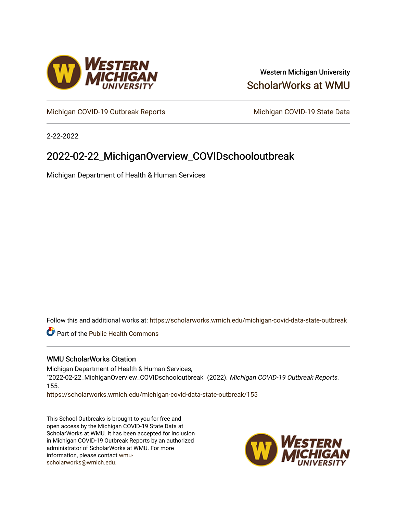

### Western Michigan University [ScholarWorks at WMU](https://scholarworks.wmich.edu/)

[Michigan COVID-19 Outbreak Reports](https://scholarworks.wmich.edu/michigan-covid-data-state-outbreak) Michigan COVID-19 State Data

2-22-2022

## 2022-02-22\_MichiganOverview\_COVIDschooloutbreak

Michigan Department of Health & Human Services

Follow this and additional works at: [https://scholarworks.wmich.edu/michigan-covid-data-state-outbreak](https://scholarworks.wmich.edu/michigan-covid-data-state-outbreak?utm_source=scholarworks.wmich.edu%2Fmichigan-covid-data-state-outbreak%2F155&utm_medium=PDF&utm_campaign=PDFCoverPages)

**Part of the Public Health Commons** 

#### WMU ScholarWorks Citation

Michigan Department of Health & Human Services, "2022-02-22\_MichiganOverview\_COVIDschooloutbreak" (2022). Michigan COVID-19 Outbreak Reports. 155.

[https://scholarworks.wmich.edu/michigan-covid-data-state-outbreak/155](https://scholarworks.wmich.edu/michigan-covid-data-state-outbreak/155?utm_source=scholarworks.wmich.edu%2Fmichigan-covid-data-state-outbreak%2F155&utm_medium=PDF&utm_campaign=PDFCoverPages) 

This School Outbreaks is brought to you for free and open access by the Michigan COVID-19 State Data at ScholarWorks at WMU. It has been accepted for inclusion in Michigan COVID-19 Outbreak Reports by an authorized administrator of ScholarWorks at WMU. For more information, please contact [wmu](mailto:wmu-scholarworks@wmich.edu)[scholarworks@wmich.edu.](mailto:wmu-scholarworks@wmich.edu)

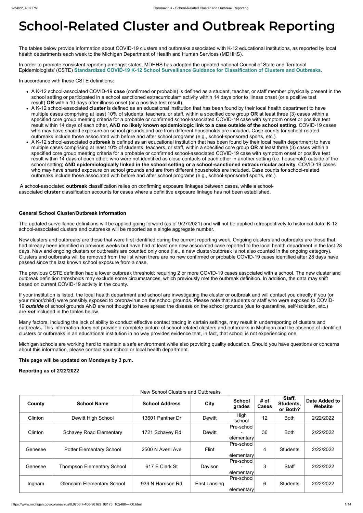# **School-Related Cluster and Outbreak Reporting**

The tables below provide information about COVID-19 clusters and outbreaks associated with K-12 educational institutions, as reported by local health departments each week to the Michigan Department of Health and Human Services (MDHHS).

In order to promote consistent reporting amongst states, MDHHS has adopted the updated national Council of State and Territorial Epidemiologists' (CSTE) **[Standardized COVID-19 K-12 School Surveillance Guidance for Classification of Clusters and Outbreaks](https://preparedness.cste.org/wp-content/uploads/2021/08/CSTE-Standardized-COVID-19-K-12-School-Surveillance-Guidance-for-Classification-of-Clusters-and-Outbreaks.pdf)**.

In accordance with these CSTE definitions:

- A K-12 school-associated COVID-19 **case** (confirmed or probable) is defined as a student, teacher, or staff member physically present in the school setting or participated in a school sanctioned extracurricular† activity within 14 days prior to illness onset (or a positive test result) **OR** within 10 days after illness onset (or a positive test result).
- A K-12 school-associated **cluster** is defined as an educational institution that has been found by their local health department to have multiple cases comprising at least 10% of students, teachers, or staff, within a specified core group **OR** at least three (3) cases within a specified core group meeting criteria for a probable or confirmed school-associated COVID-19 case with symptom onset or positive test result within 14 days of each other, **AND no likely known epidemiologic link to a case outside of the school setting**. COVID-19 cases who may have shared exposure on school grounds and are from different households are included. Case counts for school-related outbreaks include those associated with before and after school programs (e.g., school-sponsored sports, etc.).
- A K-12 school-associated **outbreak** is defined as an educational institution that has been found by their local health department to have multiple cases comprising at least 10% of students, teachers, or staff, within a specified core group **OR** at least three (3) cases within a specified core group meeting criteria for a probable or confirmed school-associated COVID-19 case with symptom onset or positive test result within 14 days of each other; who were not identified as close contacts of each other in another setting (i.e. household) outside of the school setting; **AND epidemiologically linked in the school setting or a school-sanctioned extracurricular activity**. COVID-19 cases who may have shared exposure on school grounds and are from different households are included. Case counts for school-related outbreaks include those associated with before and after school programs (e.g., school-sponsored sports, etc.).

A school-associated **outbreak** classification relies on confirming exposure linkages between cases, while a schoolassociated **cluster** classification accounts for cases where a definitive exposure linkage has not been established.

#### **General School Cluster/Outbreak Information**

The updated surveillance definitions will be applied going forward (as of 9/27/2021) and will not be applied retrospectively to historical data. K-12 school-associated clusters and outbreaks will be reported as a single aggregate number.

New clusters and outbreaks are those that were first identified during the current reporting week. Ongoing clusters and outbreaks are those that had already been identified in previous weeks but have had at least one new associated case reported to the local health department in the last 28 days. New and ongoing clusters or outbreaks are counted only once (i.e., a new cluster/outbreak is not also counted in the ongoing category). Clusters and outbreaks will be removed from the list when there are no new confirmed or probable COVID-19 cases identified after 28 days have passed since the last known school exposure from a case.

The previous CSTE definition had a lower outbreak threshold; requiring 2 or more COVID-19 cases associated with a school. The new cluster and outbreak definition thresholds may exclude some circumstances, which previously met the outbreak definition. In addition, the data may shift based on current COVID-19 activity in the county.

If your institution is listed, the local health department and school are investigating the cluster or outbreak and will contact you directly if you (or your minor/child) were possibly exposed to coronavirus on the school grounds. Please note that students or staff who were exposed to COVID-19 *outside* of school grounds AND are not thought to have spread the disease on the school grounds (due to quarantine, self-isolation, etc.) are *not* included in the tables below.

Many factors, including the lack of ability to conduct effective contact tracing in certain settings, may result in underreporting of clusters and outbreaks. This information does not provide a complete picture of school-related clusters and outbreaks in Michigan and the absence of identified clusters or outbreaks in an educational institution in no way provides evidence that, in fact, that school is not experiencing one.

Michigan schools are working hard to maintain a safe environment while also providing quality education. Should you have questions or concerns about this information, please contact your school or local health department.

**This page will be updated on Mondays by 3 p.m.**

**Reporting as of 2/22/2022**

New School Clusters and Outbreaks

| County  | <b>School Name</b>                 | <b>School Address</b> | City          | <b>School</b><br>grades                     | # of<br><b>Cases</b> | Staff,<br>Students,<br>or Both? | Date Added to<br>Website |
|---------|------------------------------------|-----------------------|---------------|---------------------------------------------|----------------------|---------------------------------|--------------------------|
| Clinton | Dewitt High School                 | 13601 Panther Dr      | <b>Dewitt</b> | High<br>school                              | 12                   | <b>Both</b>                     | 2/22/2022                |
| Clinton | <b>Schavey Road Elementary</b>     | 1721 Schavey Rd       | <b>Dewitt</b> | Pre-school<br>elementary                    | 36                   | <b>Both</b>                     | 2/22/2022                |
| Genesee | <b>Potter Elementary School</b>    | 2500 N Averil Ave     | <b>Flint</b>  | Pre-school<br>elementary                    | 4                    | <b>Students</b>                 | 2/22/2022                |
| Genesee | <b>Thompson Elementary School</b>  | 617 E Clark St        | Davison       | Pre-school<br> elementary                   | 3                    | <b>Staff</b>                    | 2/22/2022                |
| Ingham  | <b>Glencairn Elementary School</b> | 939 N Harrison Rd     | East Lansing  | Pre-school<br>$\blacksquare$<br> elementary | 6                    | <b>Students</b>                 | 2/22/2022                |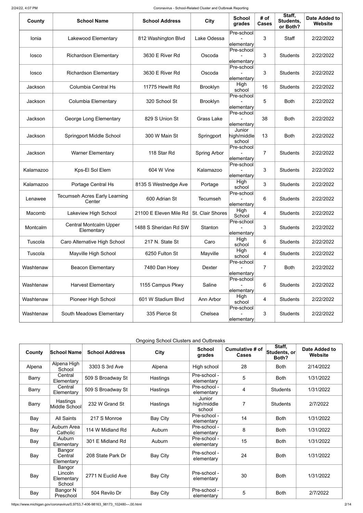https://www.michigan.gov/coronavirus/0,9753,7-406-98163\_98173\_102480---,00.html 2/14

| County    | <b>School Name</b>                             | <b>School Address</b>  | <b>City</b>         | <b>School</b><br>grades                                 | # of<br><b>Cases</b> | Staff,<br>Students,<br>or Both? | <b>Date Added to</b><br><b>Website</b> |
|-----------|------------------------------------------------|------------------------|---------------------|---------------------------------------------------------|----------------------|---------------------------------|----------------------------------------|
| Ionia     | Lakewood Elementary                            | 812 Washington Blvd    | Lake Odessa         | Pre-school<br>elementary                                | 3                    | <b>Staff</b>                    | 2/22/2022                              |
| losco     | <b>Richardson Elementary</b>                   | 3630 E River Rd        | Oscoda              | Pre-school<br>elementary                                | 3                    | <b>Students</b>                 | 2/22/2022                              |
| losco     | <b>Richardson Elementary</b>                   | 3630 E River Rd        | Oscoda              | Pre-school<br>elementary                                | 3                    | <b>Students</b>                 | 2/22/2022                              |
| Jackson   | <b>Columbia Central Hs</b>                     | 11775 Hewitt Rd        | Brooklyn            | High<br>school                                          | 16                   | <b>Students</b>                 | 2/22/2022                              |
| Jackson   | <b>Columbia Elementary</b>                     | 320 School St          | <b>Brooklyn</b>     | Pre-school<br>elementary                                | 5                    | <b>Both</b>                     | 2/22/2022                              |
| Jackson   | George Long Elementary                         | 829 S Union St         | <b>Grass Lake</b>   | Pre-school<br>elementary                                | 38                   | <b>Both</b>                     | 2/22/2022                              |
| Jackson   | <b>Springport Middle School</b>                | 300 W Main St          | Springport          | Junior<br>$\left  \text{high/middle} \right $<br>school | 13                   | <b>Both</b>                     | 2/22/2022                              |
| Jackson   | <b>Warner Elementary</b>                       | 118 Star Rd            | <b>Spring Arbor</b> | Pre-school<br>elementary                                | $\overline{7}$       | <b>Students</b>                 | 2/22/2022                              |
| Kalamazoo | Kps-El Sol Elem                                | 604 W Vine             | Kalamazoo           | Pre-school<br>elementary                                | 3                    | <b>Students</b>                 | 2/22/2022                              |
| Kalamazoo | <b>Portage Central Hs</b>                      | 8135 S Westnedge Ave   | Portage             | High<br>school                                          | 3                    | <b>Students</b>                 | 2/22/2022                              |
| Lenawee   | <b>Tecumseh Acres Early Learning</b><br>Center | 600 Adrian St          | Tecumseh            | Pre-school<br>elementary                                | 6                    | <b>Students</b>                 | 2/22/2022                              |
| Macomb    | Lakeview High School                           | 21100 E Eleven Mile Rd | St. Clair Shores    | High<br>School                                          | 4                    | <b>Students</b>                 | 2/22/2022                              |
| Montcalm  | <b>Central Montcalm Upper</b><br>Elementary    | 1488 S Sheridan Rd SW  | Stanton             | Pre-school<br>elementary                                | 3                    | <b>Students</b>                 | 2/22/2022                              |
| Tuscola   | Caro Alternative High School                   | 217 N. State St        | Caro                | High<br>school                                          | 6                    | <b>Students</b>                 | 2/22/2022                              |
| Tuscola   | Mayville High School                           | 6250 Fulton St         | Mayville            | High<br>school                                          | 4                    | <b>Students</b>                 | 2/22/2022                              |
| Washtenaw | <b>Beacon Elementary</b>                       | 7480 Dan Hoey          | Dexter              | Pre-school<br>elementary                                | 7                    | <b>Both</b>                     | 2/22/2022                              |
| Washtenaw | <b>Harvest Elementary</b>                      | 1155 Campus Pkwy       | Saline              | Pre-school<br>elementary                                | 6                    | <b>Students</b>                 | 2/22/2022                              |
| Washtenaw | Pioneer High School                            | 601 W Stadium Blvd     | Ann Arbor           | High<br>school                                          | 4                    | <b>Students</b>                 | 2/22/2022                              |
| Washtenaw | South Meadows Elementary                       | 335 Pierce St          | Chelsea             | Pre-school<br>elementary                                | 3                    | <b>Students</b>                 | 2/22/2022                              |

|  | <b>Ongoing School Clusters and Outbreaks</b> |  |  |
|--|----------------------------------------------|--|--|
|  |                                              |  |  |

| County | <b>School Name</b>                        | <b>School Address</b> | <b>City</b>     | <b>School</b><br>grades         | Cumulative # of<br><b>Cases</b> | Staff,<br>Students, or<br>Both? | Date Added to<br>Website |
|--------|-------------------------------------------|-----------------------|-----------------|---------------------------------|---------------------------------|---------------------------------|--------------------------|
| Alpena | Alpena High<br>School                     | 3303 S 3rd Ave        | Alpena          | High school                     | 28                              | <b>Both</b>                     | 2/14/2022                |
| Barry  | Central<br>Elementary                     | 509 S Broadway St     | <b>Hastings</b> | Pre-school -<br>elementary      | 5                               | <b>Both</b>                     | 1/31/2022                |
| Barry  | Central<br>Elementary                     | 509 S Broadway St     | <b>Hastings</b> | Pre-school -<br>elementary      | $\overline{4}$                  | <b>Students</b>                 | 1/31/2022                |
| Barry  | <b>Hastings</b><br>Middle School          | 232 W Grand St        | <b>Hastings</b> | Junior<br>high/middle<br>school | $\overline{7}$                  | <b>Students</b>                 | 2/7/2022                 |
| Bay    | <b>All Saints</b>                         | 217 S Monroe          | <b>Bay City</b> | Pre-school -<br>elementary      | 14                              | <b>Both</b>                     | 1/31/2022                |
| Bay    | Auburn Area<br>Catholic                   | 114 W Midland Rd      | Auburn          | Pre-school -<br>elementary      | 8                               | <b>Both</b>                     | 1/31/2022                |
| Bay    | Auburn<br>Elementary                      | 301 E Midland Rd      | Auburn          | Pre-school -<br>elementary      | 15                              | <b>Both</b>                     | 1/31/2022                |
| Bay    | Bangor<br>Central<br>Elementary           | 208 State Park Dr     | <b>Bay City</b> | Pre-school -<br>elementary      | 24                              | <b>Both</b>                     | 1/31/2022                |
| Bay    | Bangor<br>Lincoln<br>Elementary<br>School | 2771 N Euclid Ave     | <b>Bay City</b> | Pre-school -<br>elementary      | 30                              | <b>Both</b>                     | 1/31/2022                |
| Bay    | Bangor N<br>Preschool                     | 504 Revilo Dr         | Bay City        | Pre-school -<br>elementary      | 5                               | <b>Both</b>                     | 2/7/2022                 |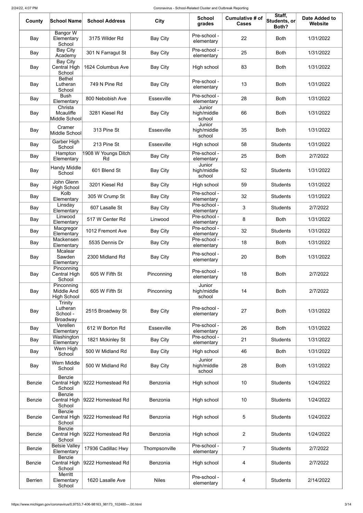| County         | <b>School Name</b>                                      | <b>School Address</b>            | <b>City</b>       | <b>School</b><br>grades         | Cumulative # of<br><b>Cases</b> | Staff,<br>Students, or<br>Both? | <b>Date Added to</b><br>Website |
|----------------|---------------------------------------------------------|----------------------------------|-------------------|---------------------------------|---------------------------------|---------------------------------|---------------------------------|
| Bay            | Bangor W<br>Elementary<br>School                        | 3175 Wilder Rd                   | <b>Bay City</b>   | Pre-school -<br>elementary      | 22                              | <b>Both</b>                     | 1/31/2022                       |
| Bay            | <b>Bay City</b><br>Academy                              | 301 N Farragut St                | <b>Bay City</b>   | Pre-school -<br>elementary      | 25                              | <b>Both</b>                     | 1/31/2022                       |
| Bay            | <b>Bay City</b><br><b>Central High</b><br>School        | 1624 Columbus Ave                | <b>Bay City</b>   | High school                     | 83                              | <b>Both</b>                     | 1/31/2022                       |
| Bay            | <b>Bethel</b><br>Lutheran<br>School                     | 749 N Pine Rd                    | <b>Bay City</b>   | Pre-school -<br>elementary      | 13                              | <b>Both</b>                     | 1/31/2022                       |
| Bay            | <b>Bush</b><br>Elementary                               | 800 Nebobish Ave                 | <b>Essexville</b> | Pre-school -<br>elementary      | 28                              | <b>Both</b>                     | 1/31/2022                       |
| Bay            | Christa<br>Mcauliffe<br>Middle School                   | 3281 Kiesel Rd                   | <b>Bay City</b>   | Junior<br>high/middle<br>school | 66                              | <b>Both</b>                     | 1/31/2022                       |
| Bay            | Cramer<br>Middle School                                 | 313 Pine St                      | <b>Essexville</b> | Junior<br>high/middle<br>school | 35                              | <b>Both</b>                     | 1/31/2022                       |
| Bay            | Garber High<br>School                                   | 213 Pine St                      | <b>Essexville</b> | High school                     | 58                              | <b>Students</b>                 | 1/31/2022                       |
| Bay            | Hampton<br>Elementary                                   | 1908 W Youngs Ditch<br>Rd        | <b>Bay City</b>   | Pre-school -<br>elementary      | 25                              | <b>Both</b>                     | 2/7/2022                        |
| Bay            | <b>Handy Middle</b><br>School                           | 601 Blend St                     | <b>Bay City</b>   | Junior<br>high/middle<br>school | 52                              | <b>Students</b>                 | 1/31/2022                       |
| Bay            | John Glenn<br><b>High School</b>                        | 3201 Kiesel Rd                   | <b>Bay City</b>   | High school                     | 59                              | <b>Students</b>                 | 1/31/2022                       |
| Bay            | Kolb<br>Elementary                                      | 305 W Crump St                   | <b>Bay City</b>   | Pre-school -<br>elementary      | 32                              | <b>Students</b>                 | 1/31/2022                       |
| Bay            | $\overline{\overline{\mathsf{L}}}$ insday<br>Elementary | 607 Lasalle St                   | <b>Bay City</b>   | Pre-school -<br>elementary      | 3                               | <b>Students</b>                 | 2/7/2022                        |
| Bay            | Linwood<br>Elementary                                   | 517 W Center Rd                  | Linwood           | Pre-school -<br>elementary      | 8                               | <b>Both</b>                     | 1/31/2022                       |
| Bay            | Macgregor<br>Elementary                                 | 1012 Fremont Ave                 | <b>Bay City</b>   | Pre-school -<br>elementary      | 32                              | <b>Students</b>                 | 1/31/2022                       |
| Bay            | Mackensen<br>Elementary                                 | 5535 Dennis Dr                   | <b>Bay City</b>   | Pre-school -<br>elementary      | 18                              | <b>Both</b>                     | 1/31/2022                       |
| Bay            | <b>Mcalear</b><br>Sawden<br>Elementary                  | 2300 Midland Rd                  | <b>Bay City</b>   | Pre-school -<br>elementary      | 20                              | <b>Both</b>                     | 1/31/2022                       |
| Bay            | Pinconning<br>Central High<br>School                    | 605 W Fifth St                   | Pinconning        | Pre-school -<br>elementary      | 18                              | <b>Both</b>                     | 2/7/2022                        |
| Bay            | Pinconning<br><b>Middle And</b><br><b>High School</b>   | 605 W Fifth St                   | Pinconning        | Junior<br>high/middle<br>school | 14                              | <b>Both</b>                     | 2/7/2022                        |
| Bay            | Trinity<br>Lutheran<br>School -<br><b>Broadway</b>      | 2515 Broadway St                 | <b>Bay City</b>   | Pre-school -<br>elementary      | 27                              | <b>Both</b>                     | 1/31/2022                       |
| Bay            | Verellen<br>Elementary                                  | 612 W Borton Rd                  | Essexville        | Pre-school -<br>elementary      | 26                              | <b>Both</b>                     | 1/31/2022                       |
| Bay            | Washington<br>Elementary                                | 1821 Mckinley St                 | <b>Bay City</b>   | Pre-school -<br>elementary      | 21                              | <b>Students</b>                 | 1/31/2022                       |
| Bay            | Wern High<br>School                                     | 500 W Midland Rd                 | <b>Bay City</b>   | High school                     | 46                              | <b>Both</b>                     | 1/31/2022                       |
| Bay            | Wern Middle<br>School                                   | 500 W Midland Rd                 | <b>Bay City</b>   | Junior<br>high/middle<br>school | 28                              | <b>Both</b>                     | 1/31/2022                       |
| Benzie         | <b>Benzie</b><br>Central High<br>School                 | 9222 Homestead Rd                | Benzonia          | High school                     | 10                              | <b>Students</b>                 | 1/24/2022                       |
| <b>Benzie</b>  | <b>Benzie</b><br>School                                 | Central High   9222 Homestead Rd | Benzonia          | High school                     | 10 <sup>°</sup>                 | <b>Students</b>                 | 1/24/2022                       |
| <b>Benzie</b>  | <b>Benzie</b><br><b>Central High</b><br>School          | 9222 Homestead Rd                | Benzonia          | High school                     | 5                               | <b>Students</b>                 | 1/24/2022                       |
| Benzie         | Benzie<br><b>Central High</b><br>School                 | 9222 Homestead Rd                | Benzonia          | High school                     | $\overline{2}$                  | <b>Students</b>                 | 1/24/2022                       |
| <b>Benzie</b>  | <b>Betsie Valley</b><br>Elementary                      | 17936 Cadillac Hwy               | Thompsonville     | Pre-school -<br>elementary      | $\overline{7}$                  | <b>Students</b>                 | 2/7/2022                        |
| <b>Benzie</b>  | Benzie<br><b>Central High</b><br>School                 | 9222 Homestead Rd                | Benzonia          | High school                     | 4                               | <b>Students</b>                 | 2/7/2022                        |
| <b>Berrien</b> | Merritt<br>Elementary<br>School                         | 1620 Lasalle Ave                 | <b>Niles</b>      | Pre-school -<br>elementary      | 4                               | <b>Students</b>                 | 2/14/2022                       |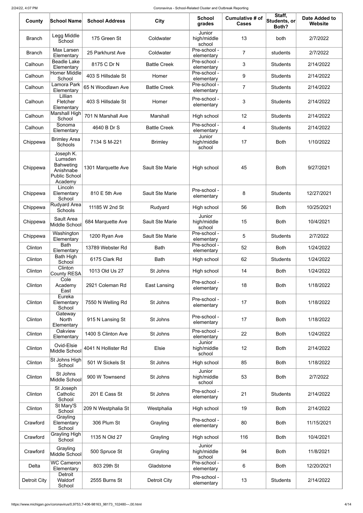| County              | School Name                                                                       | <b>School Address</b> | <b>City</b>            | <b>School</b><br>grades         | <b>Cumulative # of</b><br><b>Cases</b> | Staff,<br>Students, or<br>Both? | <b>Date Added to</b><br><b>Website</b> |
|---------------------|-----------------------------------------------------------------------------------|-----------------------|------------------------|---------------------------------|----------------------------------------|---------------------------------|----------------------------------------|
| <b>Branch</b>       | Legg Middle<br>School                                                             | 175 Green St          | Coldwater              | Junior<br>high/middle<br>school | 13                                     | both                            | 2/7/2022                               |
| <b>Branch</b>       | Max Larsen<br>Elementary                                                          | 25 Parkhurst Ave      | Coldwater              | Pre-school -<br>elementary      | $\overline{7}$                         | students                        | 2/7/2022                               |
| Calhoun             | Beadle Lake<br>Elementary                                                         | 8175 C Dr N           | <b>Battle Creek</b>    | Pre-school -<br>elementary      | 3                                      | <b>Students</b>                 | 2/14/2022                              |
| Calhoun             | Homer Middle<br>School                                                            | 403 S Hillsdale St    | Homer                  | Pre-school -<br>elementary      | 9                                      | <b>Students</b>                 | 2/14/2022                              |
| Calhoun             | Lamora Park<br>Elementary                                                         | 65 N Woodlawn Ave     | <b>Battle Creek</b>    | Pre-school -<br>elementary      | $\overline{7}$                         | <b>Students</b>                 | 2/14/2022                              |
| Calhoun             | Lillian<br>Fletcher<br>Elementary                                                 | 403 S Hillsdale St    | Homer                  | Pre-school -<br>elementary      | 3                                      | <b>Students</b>                 | 2/14/2022                              |
| Calhoun             | Marshall High<br>School                                                           | 701 N Marshall Ave    | Marshall               | High school                     | 12                                     | <b>Students</b>                 | 2/14/2022                              |
| Calhoun             | Sonoma<br>Elementary                                                              | 4640 B Dr S           | <b>Battle Creek</b>    | Pre-school -<br>elementary      | 4                                      | <b>Students</b>                 | 2/14/2022                              |
| Chippewa            | <b>Brimley Area</b><br><b>Schools</b>                                             | 7134 S M-221          | <b>Brimley</b>         | Junior<br>high/middle<br>school | 17                                     | <b>Both</b>                     | 1/10/2022                              |
| Chippewa            | Joseph K.<br>Lumsden<br><b>Bahweting</b><br>Anishnabe<br>Public School<br>Academy | 1301 Marquette Ave    | <b>Sault Ste Marie</b> | High school                     | 45                                     | <b>Both</b>                     | 9/27/2021                              |
| Chippewa            | Lincoln<br>Elementary<br>School                                                   | 810 E 5th Ave         | <b>Sault Ste Marie</b> | Pre-school -<br>elementary      | 8                                      | <b>Students</b>                 | 12/27/2021                             |
| Chippewa            | Rudyard Area<br><b>Schools</b>                                                    | 11185 W 2nd St        | Rudyard                | High school                     | 56                                     | <b>Both</b>                     | 10/25/2021                             |
| Chippewa            | Sault Area<br>Middle School                                                       | 684 Marquette Ave     | <b>Sault Ste Marie</b> | Junior<br>high/middle<br>school | 15                                     | <b>Both</b>                     | 10/4/2021                              |
| Chippewa            | Washington<br>Elementary                                                          | 1200 Ryan Ave         | <b>Sault Ste Marie</b> | Pre-school -<br>elementary      | 5                                      | <b>Students</b>                 | 2/7/2022                               |
| Clinton             | <b>Bath</b><br>Elementary                                                         | 13789 Webster Rd      | <b>Bath</b>            | Pre-school -<br>elementary      | 52                                     | <b>Both</b>                     | 1/24/2022                              |
| Clinton             | <b>Bath High</b><br>School                                                        | 6175 Clark Rd         | <b>Bath</b>            | High school                     | 62                                     | <b>Students</b>                 | 1/24/2022                              |
| Clinton             | Clinton<br>County RESA                                                            | 1013 Old Us 27        | St Johns               | High school                     | 14                                     | <b>Both</b>                     | 1/24/2022                              |
| Clinton             | Cole<br>Academy<br>East                                                           | 2921 Coleman Rd       | East Lansing           | Pre-school -<br>elementary      | 18                                     | <b>Both</b>                     | 1/18/2022                              |
| Clinton             | Eureka<br>Elementary<br>School                                                    | 7550 N Welling Rd     | St Johns               | Pre-school -<br>elementary      | 17                                     | <b>Both</b>                     | 1/18/2022                              |
| Clinton             | Gateway<br><b>North</b><br>Elementary                                             | 915 N Lansing St      | St Johns               | Pre-school -<br>elementary      | 17                                     | <b>Both</b>                     | 1/18/2022                              |
| Clinton             | Oakview<br>Elementary                                                             | 1400 S Clinton Ave    | St Johns               | Pre-school -<br>elementary      | 22                                     | <b>Both</b>                     | 1/24/2022                              |
| Clinton             | Ovid-Elsie<br>Middle School                                                       | 4041 N Hollister Rd   | Elsie                  | Junior<br>high/middle<br>school | 12                                     | <b>Both</b>                     | 2/14/2022                              |
| Clinton             | St Johns High<br>School                                                           | 501 W Sickels St      | St Johns               | High school                     | 85                                     | <b>Both</b>                     | 1/18/2022                              |
| Clinton             | St Johns<br>Middle School                                                         | 900 W Townsend        | St Johns               | Junior<br>high/middle<br>school | 53                                     | <b>Both</b>                     | 2/7/2022                               |
| Clinton             | St Joseph<br>Catholic<br>School                                                   | 201 E Cass St         | St Johns               | Pre-school -<br>elementary      | 21                                     | <b>Students</b>                 | 2/14/2022                              |
| Clinton             | St Mary'S<br>School                                                               | 209 N Westphalia St   | Westphalia             | High school                     | 19                                     | <b>Both</b>                     | 2/14/2022                              |
| Crawford            | Grayling<br>Elementary<br>School                                                  | 306 Plum St           | Grayling               | Pre-school -<br>elementary      | 80                                     | <b>Both</b>                     | 11/15/2021                             |
| Crawford            | Grayling High<br>School                                                           | 1135 N Old 27         | Grayling               | High school                     | 116                                    | <b>Both</b>                     | 10/4/2021                              |
| Crawford            | Grayling<br>Middle School                                                         | 500 Spruce St         | Grayling               | Junior<br>high/middle<br>school | 94                                     | <b>Both</b>                     | 11/8/2021                              |
| Delta               | <b>WC Cameron</b><br>Elementary                                                   | 803 29th St           | Gladstone              | Pre-school -<br>elementary      | 6                                      | <b>Both</b>                     | 12/20/2021                             |
| <b>Detroit City</b> | <b>Detroit</b><br>Waldorf<br>School                                               | 2555 Burns St         | <b>Detroit City</b>    | Pre-school -<br>elementary      | 13                                     | <b>Students</b>                 | 2/14/2022                              |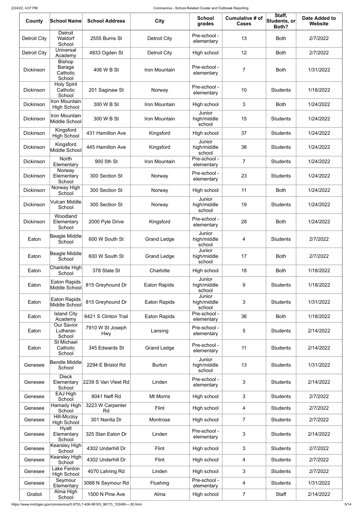| County              | <b>School Name</b>                            | <b>School Address</b>          | <b>City</b>         | <b>School</b><br>grades         | Cumulative # of<br><b>Cases</b> | Staff,<br>Students, or<br>Both? | <b>Date Added to</b><br><b>Website</b> |
|---------------------|-----------------------------------------------|--------------------------------|---------------------|---------------------------------|---------------------------------|---------------------------------|----------------------------------------|
| <b>Detroit City</b> | <b>Detroit</b><br>Waldorf<br>School           | 2555 Burns St                  | <b>Detroit City</b> | Pre-school -<br>elementary      | 13                              | <b>Both</b>                     | 2/7/2022                               |
| Detroit City        | <b>Universal</b><br>Academy                   | 4833 Ogden St                  | <b>Detroit City</b> | High school                     | 12                              | <b>Both</b>                     | 2/7/2022                               |
| <b>Dickinson</b>    | <b>Bishop</b><br>Baraga<br>Catholic<br>School | 406 W B St                     | Iron Mountain       | Pre-school -<br>elementary      | 7                               | <b>Both</b>                     | 1/31/2022                              |
| <b>Dickinson</b>    | <b>Holy Spirit</b><br>Catholic<br>School      | 201 Saginaw St                 | Norway              | Pre-school -<br>elementary      | 10                              | <b>Students</b>                 | 1/18/2022                              |
| <b>Dickinson</b>    | Iron Mountain<br><b>High School</b>           | 300 W B St                     | Iron Mountain       | High school                     | 3                               | <b>Both</b>                     | 1/24/2022                              |
| <b>Dickinson</b>    | Iron Mountain<br>Middle School                | 300 W B St                     | Iron Mountain       | Junior<br>high/middle<br>school | 15                              | <b>Students</b>                 | 1/24/2022                              |
| <b>Dickinson</b>    | Kingsford<br><b>High School</b>               | 431 Hamilton Ave               | Kingsford           | High school                     | 37                              | <b>Students</b>                 | 1/24/2022                              |
| <b>Dickinson</b>    | Kingsford<br>Middle School                    | 445 Hamilton Ave               | Kingsford           | Junior<br>high/middle<br>school | 38                              | <b>Students</b>                 | 1/24/2022                              |
| <b>Dickinson</b>    | <b>North</b><br>Elementary                    | 900 5th St                     | Iron Mountain       | Pre-school -<br>elementary      | $\overline{7}$                  | <b>Students</b>                 | 1/24/2022                              |
| <b>Dickinson</b>    | Norway<br>Elementary<br>School                | 300 Section St                 | Norway              | Pre-school -<br>elementary      | 23                              | <b>Students</b>                 | 1/24/2022                              |
| <b>Dickinson</b>    | Norway High<br>School                         | 300 Section St                 | Norway              | High school                     | 11                              | <b>Both</b>                     | 1/24/2022                              |
| Dickinson           | <b>Vulcan Middle</b><br>School                | 300 Section St                 | Norway              | Junior<br>high/middle<br>school | 19                              | <b>Students</b>                 | 1/24/2022                              |
| <b>Dickinson</b>    | Woodland<br>Elementary<br>School              | 2000 Pyle Drive                | Kingsford           | Pre-school -<br>elementary      | 28                              | <b>Both</b>                     | 1/24/2022                              |
| Eaton               | Beagle Middle<br>School                       | 600 W South St                 | <b>Grand Ledge</b>  | Junior<br>high/middle<br>school | 4                               | <b>Students</b>                 | 2/7/2022                               |
| Eaton               | Beagle Middle<br>School                       | 600 W South St                 | <b>Grand Ledge</b>  | Junior<br>high/middle<br>school | 17                              | <b>Both</b>                     | 2/7/2022                               |
| Eaton               | Charlotte High<br>School                      | 378 State St                   | Charlotte           | High school                     | 18                              | <b>Both</b>                     | 1/18/2022                              |
| Eaton               | <b>Eaton Rapids</b><br>Middle School          | 815 Greyhound Dr               | <b>Eaton Rapids</b> | Junior<br>high/middle<br>school | $9\,$                           | <b>Students</b>                 | 1/18/2022                              |
| Eaton               | Eaton Rapids<br>Middle School                 | 815 Greyhound Dr               | <b>Eaton Rapids</b> | Junior<br>high/middle<br>school | 3                               | <b>Students</b>                 | 1/31/2022                              |
| Eaton               | <b>Island City</b><br>Academy                 | 6421 S Clinton Trail           | <b>Eaton Rapids</b> | Pre-school -<br>elementary      | 36                              | <b>Both</b>                     | 1/18/2022                              |
| Eaton               | Our Savior<br>Lutheran<br>School              | 7910 W St Joseph<br><b>Hwy</b> | Lansing             | Pre-school -<br>elementary      | 5                               | <b>Students</b>                 | 2/14/2022                              |
| Eaton               | St Michael<br>Catholic<br>School              | 345 Edwards St                 | <b>Grand Ledge</b>  | Pre-school -<br>elementary      | 11                              | <b>Students</b>                 | 2/14/2022                              |
| Genesee             | Bendle Middle<br>School                       | 2294 E Bristol Rd              | <b>Burton</b>       | Junior<br>high/middle<br>school | 13                              | <b>Students</b>                 | 1/31/2022                              |
| Genesee             | <b>Dieck</b><br>Elementary<br>School          | 2239 S Van Vleet Rd            | Linden              | Pre-school -<br>elementary      | 3                               | <b>Students</b>                 | 2/14/2022                              |
| Genesee             | EAJ High<br>School                            | 8041 Neff Rd                   | <b>Mt Morris</b>    | High school                     | 3                               | <b>Students</b>                 | 2/7/2022                               |
| Genesee             | Hamady High<br>School                         | 3223 W Carpenter<br>Rd         | <b>Flint</b>        | High school                     | 4                               | <b>Students</b>                 | 2/7/2022                               |
| Genesee             | Hill-Mccloy<br><b>High School</b><br>Hyatt    | 301 Nanita Dr                  | Montrose            | High school                     | $\overline{7}$                  | <b>Students</b>                 | 2/7/2022                               |
| Genesee             | Elementary<br>School                          | 325 Stan Eaton Dr              | Linden              | Pre-school -<br>elementary      | 3                               | <b>Students</b>                 | 2/14/2022                              |
| Genesee             | Kearsley High<br>School                       | 4302 Underhill Dr              | Flint               | High school                     | 3                               | <b>Students</b>                 | 2/7/2022                               |
| Genesee             | Kearsley High<br>School                       | 4302 Underhill Dr              | <b>Flint</b>        | High school                     | 4                               | <b>Students</b>                 | 2/7/2022                               |
| Genesee             | Lake Fenton<br><b>High School</b>             | 4070 Lahring Rd                | Linden              | High school                     | 3                               | <b>Students</b>                 | 2/7/2022                               |
| Genesee             | Seymour<br>Elementary                         | 3088 N Seymour Rd              | Flushing            | Pre-school -<br>elementary      | 4                               | <b>Students</b>                 | 1/31/2022                              |
| Gratiot             | Alma High<br>School                           | 1500 N Pine Ave                | Alma                | High school                     | $\overline{7}$                  | Staff                           | 2/14/2022                              |

https://www.michigan.gov/coronavirus/0,9753,7-406-98163\_98173\_102480---,00.html 5/14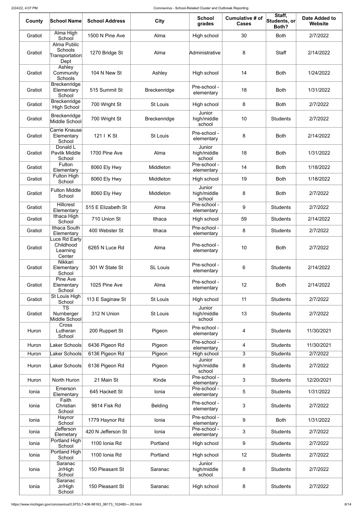| County  | <b>School Name</b>                                             | <b>School Address</b> | <b>City</b>         | <b>School</b><br>grades         | Cumulative # of<br><b>Cases</b> | Staff,<br>Students, or<br>Both? | <b>Date Added to</b><br><b>Website</b> |
|---------|----------------------------------------------------------------|-----------------------|---------------------|---------------------------------|---------------------------------|---------------------------------|----------------------------------------|
| Gratiot | Alma High<br>School                                            | 1500 N Pine Ave       | Alma                | High school                     | 30                              | <b>Both</b>                     | 2/7/2022                               |
| Gratiot | Alma Public<br>Schools<br>$\mid$ Transportation $\mid$<br>Dept | 1270 Bridge St        | Alma                | Administrative                  | 8                               | <b>Staff</b>                    | 2/14/2022                              |
| Gratiot | Ashley<br>Community<br><b>Schools</b>                          | 104 N New St          | Ashley              | High school                     | 14                              | <b>Both</b>                     | 1/24/2022                              |
| Gratiot | Breckenridge<br>Elementary<br>School                           | 515 Summit St         | <b>Breckenridge</b> | Pre-school -<br>elementary      | 18                              | <b>Both</b>                     | 1/31/2022                              |
| Gratiot | Breckenridge<br><b>High School</b>                             | 700 Wright St         | <b>St Louis</b>     | High school                     | 8                               | <b>Both</b>                     | 2/7/2022                               |
| Gratiot | Breckenridge<br>Middle School                                  | 700 Wright St         | <b>Breckenridge</b> | Junior<br>high/middle<br>school | 10                              | <b>Students</b>                 | 2/7/2022                               |
| Gratiot | Carrie Knause<br>Elementary<br>School                          | 121   K St            | <b>St Louis</b>     | Pre-school -<br>elementary      | 8                               | <b>Both</b>                     | 2/14/2022                              |
| Gratiot | Donald L<br>Pavlik Middle<br>School                            | 1700 Pine Ave         | Alma                | Junior<br>high/middle<br>school | 18                              | <b>Both</b>                     | 1/31/2022                              |
| Gratiot | Fulton<br>Elementary                                           | 8060 Ely Hwy          | Middleton           | Pre-school -<br>elementary      | 14                              | <b>Both</b>                     | 1/18/2022                              |
| Gratiot | Fulton High<br>School                                          | 8060 Ely Hwy          | Middleton           | High school                     | 19                              | <b>Both</b>                     | 1/18/2022                              |
| Gratiot | <b>Fulton Middle</b><br>School                                 | 8060 Ely Hwy          | Middleton           | Junior<br>high/middle<br>school | 8                               | <b>Both</b>                     | 2/7/2022                               |
| Gratiot | <b>Hillcrest</b><br>Elementary                                 | 515 E Elizabeth St    | Alma                | Pre-school -<br>elementary      | 9                               | <b>Students</b>                 | 2/7/2022                               |
| Gratiot | Ithaca High<br>School                                          | 710 Union St          | Ithaca              | High school                     | 59                              | <b>Students</b>                 | 2/14/2022                              |
| Gratiot | Ithaca South<br>Elementary                                     | 400 Webster St        | Ithaca              | Pre-school -<br>elementary      | 8                               | <b>Students</b>                 | 2/7/2022                               |
| Gratiot | Luce Rd Early<br>Childhood<br>Learning<br>Center               | 6265 N Luce Rd        | Alma                | Pre-school -<br>elementary      | 10                              | <b>Both</b>                     | 2/7/2022                               |
| Gratiot | Nikkari<br>Elementary<br>School                                | 301 W State St        | <b>SL Louis</b>     | Pre-school -<br>elementary      | 6                               | <b>Students</b>                 | 2/14/2022                              |
| Gratiot | Pine Ave<br>Elementary<br>School                               | 1025 Pine Ave         | Alma                | Pre-school -<br>elementary      | 12                              | <b>Both</b>                     | 2/14/2022                              |
| Gratiot | St Louis High<br>School                                        | 113 E Saginaw St      | <b>St Louis</b>     | High school                     | 11                              | <b>Students</b>                 | 2/7/2022                               |
| Gratiot | <b>TS</b><br>Nurnberger<br>Middle School                       | 312 N Union           | <b>St Louis</b>     | Junior<br>high/middle<br>school | 13                              | <b>Students</b>                 | 2/7/2022                               |
| Huron   | <b>Cross</b><br>Lutheran<br>School                             | 200 Ruppert St        | Pigeon              | Pre-school -<br>elementary      | 4                               | <b>Students</b>                 | 11/30/2021                             |
| Huron   | Laker Schools                                                  | 6436 Pigeon Rd        | Pigeon              | Pre-school -<br>elementary      | 4                               | <b>Students</b>                 | 11/30/2021                             |
| Huron   | Laker Schools                                                  | 6136 Pigeon Rd        | Pigeon              | High school<br>Junior           | 3                               | <b>Students</b>                 | 2/7/2022                               |
| Huron   | Laker Schools                                                  | 6136 Pigeon Rd        | Pigeon              | high/middle<br>school           | 8                               | <b>Students</b>                 | 2/7/2022                               |
| Huron   | North Huron                                                    | 21 Main St            | Kinde               | Pre-school -<br>elementary      | 3                               | <b>Students</b>                 | 12/20/2021                             |
| Ionia   | Emerson<br>Elementary                                          | 645 Hackett St        | Ionia               | Pre-school -<br>elementary      | 5                               | <b>Students</b>                 | 1/31/2022                              |
| Ionia   | Faith<br>Christian<br>School                                   | 9814 Fisk Rd          | <b>Belding</b>      | Pre-school -<br>elementary      | 3                               | <b>Students</b>                 | 2/7/2022                               |
| Ionia   | Haynor<br>School                                               | 1779 Haynor Rd        | Ionia               | Pre-school -<br>elementary      | 9                               | <b>Both</b>                     | 1/31/2022                              |
| Ionia   | Jefferson<br>Elemetary                                         | 420 N Jefferson St    | Ionia               | Pre-school -<br>elementary      | 3                               | <b>Students</b>                 | 2/7/2022                               |
| Ionia   | Portland High<br>School                                        | 1100 Ionia Rd         | Portland            | High school                     | 9                               | <b>Students</b>                 | 2/7/2022                               |
| Ionia   | Portland High<br>School                                        | 1100 Ionia Rd         | Portland            | High school                     | 12                              | <b>Students</b>                 | 2/7/2022                               |
| Ionia   | Saranac<br>Jr/High<br>School                                   | 150 Pleasant St       | Saranac             | Junior<br>high/middle<br>school | 8                               | <b>Students</b>                 | 2/7/2022                               |
| lonia   | Saranac<br>Jr/High<br>School                                   | 150 Pleasant St       | Saranac             | High school                     | 8                               | <b>Students</b>                 | 2/7/2022                               |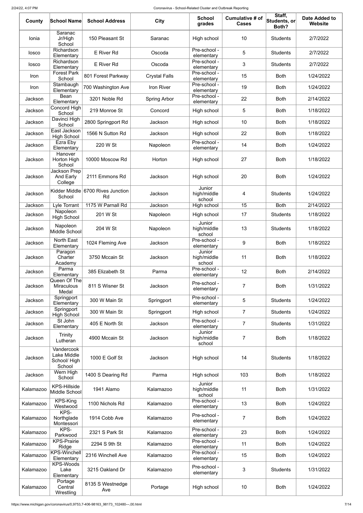| County    | <b>School Name</b>                                 | <b>School Address</b>                   | <b>City</b>          | <b>School</b><br>grades         | <b>Cumulative # of</b><br><b>Cases</b> | Staff,<br>Students, or<br>Both? | <b>Date Added to</b><br>Website |
|-----------|----------------------------------------------------|-----------------------------------------|----------------------|---------------------------------|----------------------------------------|---------------------------------|---------------------------------|
| Ionia     | Saranac<br>Jr/High<br>School                       | 150 Pleasant St                         | Saranac              | High school                     | 10                                     | <b>Students</b>                 | 2/7/2022                        |
| losco     | Richardson<br>Elementary                           | E River Rd                              | Oscoda               | Pre-school -<br>elementary      | 5                                      | <b>Students</b>                 | 2/7/2022                        |
| losco     | Richardson<br>Elementary                           | E River Rd                              | Oscoda               | Pre-school -<br>elementary      | 3                                      | <b>Students</b>                 | 2/7/2022                        |
| Iron      | <b>Forest Park</b><br>School                       | 801 Forest Parkway                      | <b>Crystal Falls</b> | Pre-school -<br>elementary      | 15                                     | <b>Both</b>                     | 1/24/2022                       |
| Iron      | Stambaugh<br>Elementary                            | 700 Washington Ave                      | Iron River           | Pre-school -<br>elementary      | 19                                     | <b>Both</b>                     | 1/24/2022                       |
| Jackson   | Bean<br>Elementary                                 | 3201 Noble Rd                           | <b>Spring Arbor</b>  | Pre-school -<br>elementary      | 22                                     | <b>Both</b>                     | 2/14/2022                       |
| Jackson   | Concord High<br>School                             | 219 Monroe St                           | Concord              | High school                     | 5                                      | <b>Both</b>                     | 1/18/2022                       |
| Jackson   | Davinci High<br>School                             | 2800 Springport Rd                      | Jackson              | High school                     | 10                                     | <b>Both</b>                     | 1/18/2022                       |
| Jackson   | East Jackson<br><b>High School</b>                 | 1566 N Sutton Rd                        | Jackson              | High school                     | 22                                     | <b>Both</b>                     | 1/18/2022                       |
| Jackson   | Ezra Eby<br>Elementary                             | 220 W St                                | Napoleon             | Pre-school -<br>elementary      | 14                                     | <b>Both</b>                     | 1/24/2022                       |
| Jackson   | Hanover<br>Horton High<br>School                   | 10000 Moscow Rd                         | Horton               | High school                     | 27                                     | <b>Both</b>                     | 1/18/2022                       |
| Jackson   | Jackson Prep<br>And Early<br>College               | 2111 Emmons Rd                          | Jackson              | High school                     | 20                                     | <b>Both</b>                     | 1/24/2022                       |
| Jackson   | School                                             | Kidder Middle 6700 Rives Junction<br>Rd | Jackson              | Junior<br>high/middle<br>school | 4                                      | <b>Students</b>                 | 1/24/2022                       |
| Jackson   | Lyle Torrant<br>Napoleon                           | 1175 W Parnall Rd                       | Jackson              | High school                     | 15                                     | <b>Both</b>                     | 2/14/2022                       |
| Jackson   | <b>High School</b>                                 | 201 W St                                | Napoleon             | High school<br>Junior           | 17                                     | <b>Students</b>                 | 1/18/2022                       |
| Jackson   | Napoleon<br>Middle School                          | 204 W St                                | Napoleon             | high/middle<br>school           | 13                                     | <b>Students</b>                 | 1/18/2022                       |
| Jackson   | North East<br>Elementary                           | 1024 Fleming Ave                        | Jackson              | Pre-school -<br>elementary      | 9                                      | <b>Both</b>                     | 1/18/2022                       |
| Jackson   | Paragon<br>Charter<br>Academy                      | 3750 Mccain St                          | Jackson              | Junior<br>high/middle<br>school | 11                                     | <b>Both</b>                     | 1/18/2022                       |
| Jackson   | Parma<br>Elementary                                | 385 Elizabeth St                        | Parma                | Pre-school -<br>elementary      | 12                                     | <b>Both</b>                     | 2/14/2022                       |
| Jackson   | Queen Of The<br><b>Miraculous</b><br>Medal         | 811 S Wisner St                         | Jackson              | Pre-school -<br>elementary      | $\overline{7}$                         | <b>Both</b>                     | 1/31/2022                       |
| Jackson   | Springport<br>Elementary                           | 300 W Main St                           | Springport           | Pre-school -<br>elementary      | 5                                      | <b>Students</b>                 | 1/24/2022                       |
| Jackson   | Springport<br><b>High School</b>                   | 300 W Main St                           | Springport           | High school                     | $\overline{7}$                         | <b>Students</b>                 | 1/24/2022                       |
| Jackson   | St John<br>Elementary                              | 405 E North St                          | Jackson              | Pre-school -<br>elementary      | $\overline{7}$                         | <b>Students</b>                 | 1/31/2022                       |
| Jackson   | Trinity<br>Lutheran                                | 4900 Mccain St                          | Jackson              | Junior<br>high/middle<br>school | $\overline{7}$                         | <b>Both</b>                     | 1/18/2022                       |
| Jackson   | Vandercook<br>Lake Middle<br>School/High<br>School | 1000 E Golf St                          | Jackson              | High school                     | 14                                     | <b>Students</b>                 | 1/18/2022                       |
| Jackson   | Wern High<br>School                                | 1400 S Dearing Rd                       | Parma                | High school                     | 103                                    | <b>Both</b>                     | 1/18/2022                       |
| Kalamazoo | <b>KPS-Hillside</b><br>Middle School               | 1941 Alamo                              | Kalamazoo            | Junior<br>high/middle<br>school | 11                                     | <b>Both</b>                     | 1/31/2022                       |
| Kalamazoo | <b>KPS-King</b><br>Westwood                        | 1100 Nichols Rd                         | Kalamazoo            | Pre-school -<br>elementary      | 13                                     | <b>Both</b>                     | 1/24/2022                       |
| Kalamazoo | KPS-<br>Northglade<br>Montessori                   | 1914 Cobb Ave                           | Kalamazoo            | Pre-school -<br>elementary      | $\overline{7}$                         | <b>Both</b>                     | 1/24/2022                       |
| Kalamazoo | KPS-<br>Parkwood                                   | 2321 S Park St                          | Kalamazoo            | Pre-school -<br>elementary      | 23                                     | <b>Both</b>                     | 1/24/2022                       |
| Kalamazoo | <b>KPS-Prairie</b><br>Ridge                        | 2294 S 9th St                           | Kalamazoo            | Pre-school -<br>elementary      | 11                                     | <b>Both</b>                     | 1/24/2022                       |
| Kalamazoo | <b>KPS-Winchell</b><br>Elementary                  | 2316 Winchell Ave                       | Kalamazoo            | Pre-school -<br>elementary      | 15                                     | <b>Both</b>                     | 1/24/2022                       |
| Kalamazoo | <b>KPS-Woods</b><br>Lake<br>Elementary             | 3215 Oakland Dr                         | Kalamazoo            | Pre-school -<br>elementary      | 3                                      | <b>Students</b>                 | 1/31/2022                       |
| Kalamazoo | Portage<br>Central<br>Wrestling                    | 8135 S Westnedge<br>Ave                 | Portage              | High school                     | 10                                     | <b>Both</b>                     | 1/24/2022                       |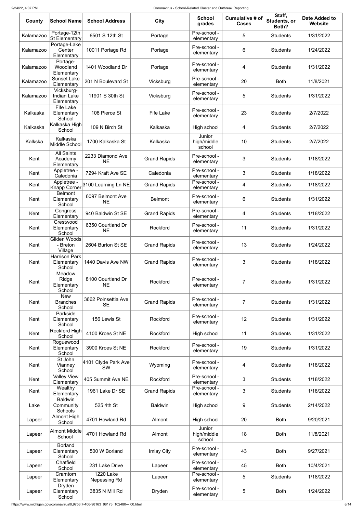| County    | School Name                                    | <b>School Address</b>                       | <b>City</b>         | <b>School</b><br>grades         | Cumulative # of<br><b>Cases</b> | Staff,<br>$ \mathsf{Students},\mathsf{or} $<br>Both? | <b>Date Added to</b><br><b>Website</b> |
|-----------|------------------------------------------------|---------------------------------------------|---------------------|---------------------------------|---------------------------------|------------------------------------------------------|----------------------------------------|
| Kalamazoo | Portage-12th<br>St Elementary                  | 6501 S 12th St                              | Portage             | Pre-school -<br>elementary      | 5                               | <b>Students</b>                                      | 1/31/2022                              |
| Kalamazoo | Portage-Lake<br>Center<br>Elementary           | 10011 Portage Rd                            | Portage             | Pre-school -<br>elementary      | 6                               | <b>Students</b>                                      | 1/24/2022                              |
| Kalamazoo | Portage-<br>Woodland<br>Elementary             | 1401 Woodland Dr                            | Portage             | Pre-school -<br>elementary      | 4                               | <b>Students</b>                                      | 1/31/2022                              |
| Kalamazoo | <b>Sunset Lake</b><br>Elementary               | 201 N Boulevard St                          | Vicksburg           | Pre-school -<br>elementary      | 20                              | <b>Both</b>                                          | 11/8/2021                              |
| Kalamazoo | Vicksburg-<br><b>Indian Lake</b><br>Elementary | 11901 S 30th St                             | Vicksburg           | Pre-school -<br>elementary      | 5                               | <b>Students</b>                                      | 1/31/2022                              |
| Kalkaska  | <b>Fife Lake</b><br>Elementary<br>School       | 108 Pierce St                               | <b>Fife Lake</b>    | Pre-school -<br>elementary      | 23                              | <b>Students</b>                                      | 2/7/2022                               |
| Kalkaska  | Kalkaska High<br>School                        | 109 N Birch St                              | Kalkaska            | High school                     | 4                               | <b>Students</b>                                      | 2/7/2022                               |
| Kalkska   | Kalkaska<br>Middle School                      | 1700 Kalkaska St                            | Kalkaska            | Junior<br>high/middle<br>school | 10                              | <b>Students</b>                                      | 2/7/2022                               |
| Kent      | <b>All Saints</b><br>Academy<br>Elementary     | 2233 Diamond Ave<br><b>NE</b>               | <b>Grand Rapids</b> | Pre-school -<br>elementary      | 3                               | <b>Students</b>                                      | 1/18/2022                              |
| Kent      | Appletree -<br>Caledonia                       | 7294 Kraft Ave SE                           | Caledonia           | Pre-school -<br>elementary      | 3                               | <b>Students</b>                                      | 1/18/2022                              |
| Kent      |                                                | Knapp Corner <sup>2100</sup> Learning Ln NE | <b>Grand Rapids</b> | Pre-school -<br>elementary      | 4                               | <b>Students</b>                                      | 1/18/2022                              |
| Kent      | <b>Belmont</b><br>Elementary<br>School         | 6097 Belmont Ave<br><b>NE</b>               | <b>Belmont</b>      | Pre-school -<br>elementary      | 6                               | <b>Students</b>                                      | 1/31/2022                              |
| Kent      | Congress<br>Elementary                         | 940 Baldwin St SE                           | <b>Grand Rapids</b> | Pre-school -<br>elementary      | 4                               | <b>Students</b>                                      | 1/18/2022                              |
| Kent      | Crestwood<br>Elementary<br>School              | 6350 Courtland Dr<br><b>NE</b>              | Rockford            | Pre-school -<br>elementary      | 11                              | <b>Students</b>                                      | 1/31/2022                              |
| Kent      | Gilden Woods<br>- Breton<br>Village            | 2604 Burton St SE                           | <b>Grand Rapids</b> | Pre-school -<br>elementary      | 13                              | <b>Students</b>                                      | 1/24/2022                              |
| Kent      | <b>Harrison Park</b><br>Elementary<br>School   | 1440 Davis Ave NW                           | <b>Grand Rapids</b> | Pre-school -<br>elementary      | 3                               | <b>Students</b>                                      | 1/18/2022                              |
| Kent      | Meadow<br>Ridge<br>Elementary<br>School        | 8100 Courtland Dr<br><b>NE</b>              | Rockford            | Pre-school -<br>elementary      | $\overline{7}$                  | <b>Students</b>                                      | 1/31/2022                              |
| Kent      | <b>New</b><br><b>Branches</b><br>School        | 3662 Poinsettia Ave<br><b>SE</b>            | <b>Grand Rapids</b> | Pre-school -<br>elementary      | $\overline{7}$                  | <b>Students</b>                                      | 1/31/2022                              |
| Kent      | Parkside<br>Elementary<br>School               | 156 Lewis St                                | Rockford            | Pre-school -<br>elementary      | 12                              | <b>Students</b>                                      | 1/31/2022                              |
| Kent      | Rockford High<br>School                        | 4100 Kroes St NE                            | Rockford            | High school                     | 11                              | <b>Students</b>                                      | 1/31/2022                              |
| Kent      | Roguewood<br>Elementary<br>School              | 3900 Kroes St NE                            | Rockford            | Pre-school -<br>elementary      | 19                              | <b>Students</b>                                      | 1/31/2022                              |
| Kent      | St John<br>Vianney<br>School                   | 4101 Clyde Park Ave<br><b>SW</b>            | Wyoming             | Pre-school -<br>elementary      | 4                               | <b>Students</b>                                      | 1/18/2022                              |
| Kent      | <b>Valley View</b><br>Elementary               | 405 Summit Ave NE                           | Rockford            | Pre-school -<br>elementary      | 3                               | <b>Students</b>                                      | 1/18/2022                              |
| Kent      | Wealthy<br>Elementary                          | 1961 Lake Dr SE                             | <b>Grand Rapids</b> | Pre-school -<br>elementary      | 3                               | <b>Students</b>                                      | 1/18/2022                              |
| Lake      | <b>Baldwin</b><br>Community<br><b>Schools</b>  | 525 4th St                                  | <b>Baldwin</b>      | High school                     | 9                               | <b>Students</b>                                      | 2/14/2022                              |
| Lapeer    | Almont High<br>School                          | 4701 Howland Rd                             | Almont              | High school                     | 20                              | <b>Both</b>                                          | 9/20/2021                              |
| Lapeer    | Almont Middle<br>School                        | 4701 Howland Rd                             | Almont              | Junior<br>high/middle<br>school | 18                              | <b>Both</b>                                          | 11/8/2021                              |
| Lapeer    | <b>Borland</b><br>Elementary<br>School         | 500 W Borland                               | Imlay City          | Pre-school -<br>elementary      | 43                              | <b>Both</b>                                          | 9/27/2021                              |
| Lapeer    | Chatfield<br>School                            | 231 Lake Drive                              | Lapeer              | Pre-school -<br>elementary      | 45                              | <b>Both</b>                                          | 10/4/2021                              |
| Lapeer    | Cramtom<br>Elementary                          | <b>1220 Lake</b><br>Nepessing Rd            | Lapeer              | Pre-school -<br>elementary      | 5                               | <b>Students</b>                                      | 1/18/2022                              |
| Lapeer    | <b>Dryden</b><br>Elementary<br>School          | 3835 N Mill Rd                              | Dryden              | Pre-school -<br>elementary      | 5                               | <b>Both</b>                                          | 1/24/2022                              |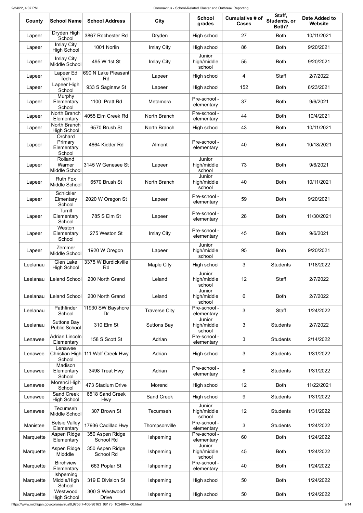| County    | <b>School Name</b>                         | <b>School Address</b>             | <b>City</b>          | <b>School</b><br>grades         | Cumulative # of<br><b>Cases</b> | Staff,<br>Students, or<br>Both? | <b>Date Added to</b><br><b>Website</b> |
|-----------|--------------------------------------------|-----------------------------------|----------------------|---------------------------------|---------------------------------|---------------------------------|----------------------------------------|
| Lapeer    | Dryden High<br>School                      | 3867 Rochester Rd                 | Dryden               | High school                     | 27                              | <b>Both</b>                     | 10/11/2021                             |
| Lapeer    | <b>Imlay City</b><br><b>High School</b>    | 1001 Norlin                       | Imlay City           | High school                     | 86                              | <b>Both</b>                     | 9/20/2021                              |
| Lapeer    | <b>Imlay City</b><br>Middle School         | 495 W 1st St                      | Imlay City           | Junior<br>high/middle<br>school | 55                              | <b>Both</b>                     | 9/20/2021                              |
| Lapeer    | Lapeer Ed<br>Tech                          | 690 N Lake Pleasant<br>Rd         | Lapeer               | High school                     | 4                               | <b>Staff</b>                    | 2/7/2022                               |
| Lapeer    | Lapeer High<br>School                      | 933 S Saginaw St                  | Lapeer               | High school                     | 152                             | <b>Both</b>                     | 8/23/2021                              |
| Lapeer    | Murphy<br>Elementary<br>School             | 1100 Pratt Rd                     | Metamora             | Pre-school -<br>elementary      | 37                              | <b>Both</b>                     | 9/6/2021                               |
| Lapeer    | North Branch<br>Elementary                 | 4055 Elm Creek Rd                 | North Branch         | Pre-school -<br>elementary      | 44                              | <b>Both</b>                     | 10/4/2021                              |
| Lapeer    | North Branch<br><b>High School</b>         | 6570 Brush St                     | North Branch         | High school                     | 43                              | <b>Both</b>                     | 10/11/2021                             |
| Lapeer    | Orchard<br>Primary<br>Elementary<br>School | 4664 Kidder Rd                    | Almont               | Pre-school -<br>elementary      | 40                              | <b>Both</b>                     | 10/18/2021                             |
| Lapeer    | Rolland<br>Warner<br>Middle School         | 3145 W Genesee St                 | Lapeer               | Junior<br>high/middle<br>school | 73                              | <b>Both</b>                     | 9/6/2021                               |
| Lapeer    | <b>Ruth Fox</b><br>Middle School           | 6570 Brush St                     | North Branch         | Junior<br>high/middle<br>school | 40                              | <b>Both</b>                     | 10/11/2021                             |
| Lapeer    | <b>Schickler</b><br>Elmentary<br>School    | 2020 W Oregon St                  | Lapeer               | Pre-school -<br>elementary      | 59                              | <b>Both</b>                     | 9/20/2021                              |
| Lapeer    | Turrill<br>Elementary<br>School            | 785 S Elm St                      | Lapeer               | Pre-school -<br>elementary      | 28                              | <b>Both</b>                     | 11/30/2021                             |
| Lapeer    | Weston<br>Elementary<br>School             | 275 Weston St                     | Imlay City           | Pre-school -<br>elementary      | 45                              | <b>Both</b>                     | 9/6/2021                               |
| Lapeer    | Zemmer<br>Middle School                    | 1920 W Oregon                     | Lapeer               | Junior<br>high/middle<br>school | 95                              | <b>Both</b>                     | 9/20/2021                              |
| Leelanau  | <b>Glen Lake</b><br><b>High School</b>     | 3375 W Burdickville<br>Rd         | Maple City           | High school                     | 3                               | <b>Students</b>                 | 1/18/2022                              |
| Leelanau  | <b>Leland School</b>                       | 200 North Grand                   | Leland               | Junior<br>high/middle<br>school | 12                              | <b>Staff</b>                    | 2/7/2022                               |
| Leelanau  | <b>Leland School</b>                       | 200 North Grand                   | Leland               | Junior<br>high/middle<br>school | 6                               | <b>Both</b>                     | 2/7/2022                               |
| Leelanau  | Pathfinder<br>School                       | 11930 SW Bayshore<br>Dr           | <b>Traverse City</b> | Pre-school -<br>elementary      | 3                               | <b>Staff</b>                    | 1/24/2022                              |
| Leelanau  | <b>Suttons Bay</b><br><b>Public School</b> | 310 Elm St                        | <b>Suttons Bay</b>   | Junior<br>high/middle<br>school | 3                               | <b>Students</b>                 | 2/7/2022                               |
| Lenawee   | Adrian Lincoln<br>Elementary               | 158 S Scott St                    | Adrian               | Pre-school -<br>elementary      | 3                               | <b>Students</b>                 | 2/14/2022                              |
| Lenawee   | Lenawee<br>School                          | Christian High 111 Wolf Creek Hwy | Adrian               | High school                     | 3                               | <b>Students</b>                 | 1/31/2022                              |
| Lenawee   | Madison<br>Elementary<br>School            | 3498 Treat Hwy                    | Adrian               | Pre-school -<br>elementary      | 8                               | <b>Students</b>                 | 1/31/2022                              |
| Lenawee   | Morenci High<br>School                     | 473 Stadium Drive                 | Morenci              | High school                     | 12                              | <b>Both</b>                     | 11/22/2021                             |
| Lenawee   | Sand Creek<br><b>High School</b>           | 6518 Sand Creek<br>Hwy            | Sand Creek           | High school                     | 9                               | <b>Students</b>                 | 1/31/2022                              |
| Lenawee   | Tecumseh<br>Middle School                  | 307 Brown St                      | <b>Tecumseh</b>      | Junior<br>high/middle<br>school | 12                              | <b>Students</b>                 | 1/31/2022                              |
| Manistee  | <b>Betsie Valley</b><br>Elementary         | 17936 Cadillac Hwy                | Thompsonville        | Pre-school -<br>elementary      | 3                               | <b>Students</b>                 | 1/24/2022                              |
| Marquette | Aspen Ridge<br>Elementary                  | 350 Aspen Ridge<br>School Rd      | Ishpeming            | Pre-school -<br>elementary      | 60                              | <b>Both</b>                     | 1/24/2022                              |
| Marquette | Aspen Ridge<br>Midddle                     | 350 Aspen Ridge<br>School Rd      | Ishpeming            | Junior<br>high/middle<br>school | 45                              | <b>Both</b>                     | 1/24/2022                              |
| Marquette | <b>Birchview</b><br>Elementary             | 663 Poplar St                     | Ishpeming            | Pre-school -<br>elementary      | 40                              | <b>Both</b>                     | 1/24/2022                              |
| Marquette | Ishpeming<br>Middle/High<br>School         | 319 E Division St                 | Ishpeming            | High school                     | 50                              | <b>Both</b>                     | 1/24/2022                              |
| Marquette | Westwood<br><b>High School</b>             | 300 S Westwood<br><b>Drive</b>    | Ishpeming            | High school                     | 50                              | <b>Both</b>                     | 1/24/2022                              |

https://www.michigan.gov/coronavirus/0,9753,7-406-98163\_98173\_102480---,00.html 9/14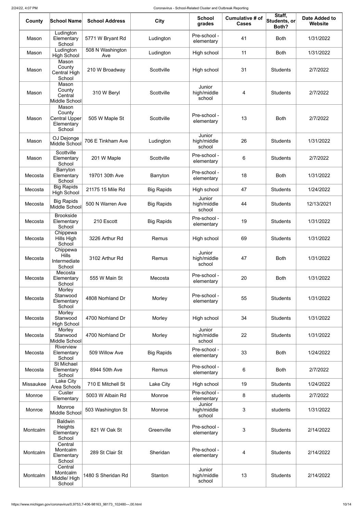| County    | <b>School Name</b>                                       | <b>School Address</b>   | <b>City</b>       | <b>School</b><br>grades         | Cumulative # of<br><b>Cases</b> | Staff,<br>Students, or<br>Both? | <b>Date Added to</b><br><b>Website</b> |
|-----------|----------------------------------------------------------|-------------------------|-------------------|---------------------------------|---------------------------------|---------------------------------|----------------------------------------|
| Mason     | Ludington<br>Elementary<br>School                        | 5771 W Bryant Rd        | Ludington         | Pre-school -<br>elementary      | 41                              | <b>Both</b>                     | 1/31/2022                              |
| Mason     | Ludington<br><b>High School</b>                          | 508 N Washington<br>Ave | Ludington         | High school                     | 11                              | <b>Both</b>                     | 1/31/2022                              |
| Mason     | Mason<br>County<br><b>Central High</b><br>School         | 210 W Broadway          | Scottville        | High school                     | 31                              | <b>Students</b>                 | 2/7/2022                               |
| Mason     | Mason<br>County<br>Central<br>Middle School              | 310 W Beryl             | Scottville        | Junior<br>high/middle<br>school | 4                               | <b>Students</b>                 | 2/7/2022                               |
| Mason     | Mason<br>County<br>Central Upper<br>Elementary<br>School | 505 W Maple St          | Scottville        | Pre-school -<br>elementary      | 13                              | <b>Both</b>                     | 2/7/2022                               |
| Mason     | OJ Dejonge<br>Middle School                              | 706 E Tinkham Ave       | Ludington         | Junior<br>high/middle<br>school | 26                              | <b>Students</b>                 | 1/31/2022                              |
| Mason     | Scottville<br>Elementary<br>School                       | 201 W Maple             | Scottville        | Pre-school -<br>elementary      | 6                               | <b>Students</b>                 | 2/7/2022                               |
| Mecosta   | Barryton<br>Elementary<br>School                         | 19701 30th Ave          | Barryton          | Pre-school -<br>elementary      | 18                              | <b>Both</b>                     | 1/31/2022                              |
| Mecosta   | <b>Big Rapids</b><br><b>High School</b>                  | 21175 15 Mile Rd        | <b>Big Rapids</b> | High school                     | 47                              | <b>Students</b>                 | 1/24/2022                              |
| Mecosta   | <b>Big Rapids</b><br>Middle School                       | 500 N Warren Ave        | <b>Big Rapids</b> | Junior<br>high/middle<br>school | 44                              | <b>Students</b>                 | 12/13/2021                             |
| Mecosta   | <b>Brookside</b><br>Elementary<br>School                 | 210 Escott              | <b>Big Rapids</b> | Pre-school -<br>elementary      | 19                              | <b>Students</b>                 | 1/31/2022                              |
| Mecosta   | Chippewa<br>Hills High<br>School                         | 3226 Arthur Rd          | Remus             | High school                     | 69                              | <b>Students</b>                 | 1/31/2022                              |
| Mecosta   | Chippewa<br><b>Hills</b><br>Intermediate<br>School       | 3102 Arthur Rd          | Remus             | Junior<br>high/middle<br>school | 47                              | <b>Both</b>                     | 1/31/2022                              |
| Mecosta   | Mecosta<br>Elementary<br>School                          | 555 W Main St           | Mecosta           | Pre-school -<br>elementary      | 20                              | <b>Both</b>                     | 1/31/2022                              |
| Mecosta   | Morley<br>Stanwood<br>Elementary<br>School               | 4808 Norhland Dr        | Morley            | Pre-school -<br>elementary      | 55                              | <b>Students</b>                 | 1/31/2022                              |
| Mecosta   | Morley<br>Stanwood<br><b>High School</b>                 | 4700 Norhland Dr        | Morley            | High school                     | 34                              | <b>Students</b>                 | 1/31/2022                              |
| Mecosta   | Morley<br>Stanwood<br>Middle School                      | 4700 Norhland Dr        | Morley            | Junior<br>high/middle<br>school | 22                              | <b>Students</b>                 | 1/31/2022                              |
| Mecosta   | Riverview<br>Elementary<br>School                        | 509 Willow Ave          | <b>Big Rapids</b> | Pre-school -<br>elementary      | 33                              | <b>Both</b>                     | 1/24/2022                              |
| Mecosta   | <b>St Michael</b><br>Elementary<br>School                | 8944 50th Ave           | Remus             | Pre-school -<br>elementary      | 6                               | <b>Both</b>                     | 2/7/2022                               |
| Missaukee | Lake City<br>Area Schools                                | 710 E Mitchell St       | Lake City         | High school                     | 19                              | <b>Students</b>                 | 1/24/2022                              |
| Monroe    | Custer<br>Elementary                                     | 5003 W Albain Rd        | Monroe            | Pre-school -<br>elementary      | 8                               | students                        | 2/7/2022                               |
| Monroe    | Monroe<br>Middle School                                  | 503 Washington St       | Monroe            | Junior<br>high/middle<br>school | 3                               | students                        | 1/31/2022                              |
| Montcalm  | <b>Baldwin</b><br><b>Heights</b><br>Elementary<br>School | 821 W Oak St            | Greenville        | Pre-school -<br>elementary      | 3                               | <b>Students</b>                 | 2/14/2022                              |
| Montcalm  | Central<br>Montcalm<br>Elementary<br>School              | 289 St Clair St         | Sheridan          | Pre-school -<br>elementary      | 4                               | <b>Students</b>                 | 2/14/2022                              |
| Montcalm  | Central<br>Montcalm<br>Middle/High<br>School             | 1480 S Sheridan Rd      | Stanton           | Junior<br>high/middle<br>school | 13                              | <b>Students</b>                 | 2/14/2022                              |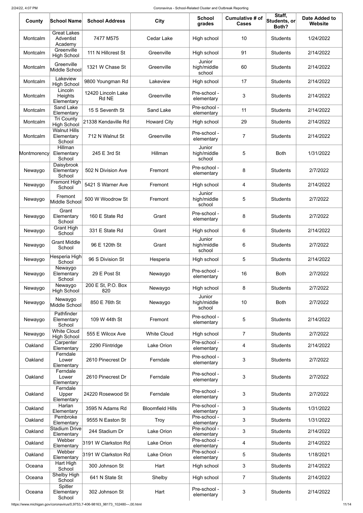| County      | <b>School Name</b>                          | <b>School Address</b>       | City                    | <b>School</b><br>grades         | Cumulative # of<br><b>Cases</b> | Staff,<br>Students, or<br>Both? | <b>Date Added to</b><br><b>Website</b> |
|-------------|---------------------------------------------|-----------------------------|-------------------------|---------------------------------|---------------------------------|---------------------------------|----------------------------------------|
| Montcalm    | <b>Great Lakes</b><br>Adventist<br>Academy  | 7477 M575                   | <b>Cedar Lake</b>       | High school                     | 10                              | <b>Students</b>                 | 1/24/2022                              |
| Montcalm    | Greenville<br><b>High School</b>            | 111 N Hillcrest St          | Greenville              | High school                     | 91                              | <b>Students</b>                 | 2/14/2022                              |
| Montcalm    | Greenville<br>Middle School                 | 1321 W Chase St             | Greenville              | Junior<br>high/middle<br>school | 60                              | <b>Students</b>                 | 2/14/2022                              |
| Montcalm    | Lakeview<br><b>High School</b>              | 9800 Youngman Rd            | Lakeview                | High school                     | 17                              | <b>Students</b>                 | 2/14/2022                              |
| Montcalm    | Lincoln<br><b>Heights</b><br>Elementary     | 12420 Lincoln Lake<br>Rd NE | Greenville              | Pre-school -<br>elementary      | 3                               | <b>Students</b>                 | 2/14/2022                              |
| Montcalm    | <b>Sand Lake</b><br>Elementary              | 15 S Seventh St             | <b>Sand Lake</b>        | Pre-school -<br>elementary      | 11                              | <b>Students</b>                 | 2/14/2022                              |
| Montcalm    | <b>Tri County</b><br><b>High School</b>     | 21338 Kendaville Rd         | <b>Howard City</b>      | High school                     | 29                              | <b>Students</b>                 | 2/14/2022                              |
| Montcalm    | <b>Walnut Hills</b><br>Elementary<br>School | 712 N Walnut St             | Greenville              | Pre-school -<br>elementary      | 7                               | <b>Students</b>                 | 2/14/2022                              |
| Montmorency | Hillman<br>Elementary<br>School             | 245 E 3rd St                | Hillman                 | Junior<br>high/middle<br>school | 5                               | <b>Both</b>                     | 1/31/2022                              |
| Newaygo     | Daisybrook<br>Elementary<br>School          | 502 N Division Ave          | Fremont                 | Pre-school -<br>elementary      | 8                               | <b>Students</b>                 | 2/7/2022                               |
| Newaygo     | Fremont High<br>School                      | 5421 S Warner Ave           | Fremont                 | High school                     | 4                               | <b>Students</b>                 | 2/14/2022                              |
| Newaygo     | Fremont<br>Middle School                    | 500 W Woodrow St            | Fremont                 | Junior<br>high/middle<br>school | 5                               | <b>Students</b>                 | 2/7/2022                               |
| Newaygo     | Grant<br>Elementary<br>School               | 160 E State Rd              | Grant                   | Pre-school -<br>elementary      | 8                               | <b>Students</b>                 | 2/7/2022                               |
| Newaygo     | <b>Grant High</b><br>School                 | 331 E State Rd              | Grant                   | High school                     | 6                               | <b>Students</b>                 | 2/14/2022                              |
| Newaygo     | <b>Grant Middle</b><br>School               | 96 E 120th St               | Grant                   | Junior<br>high/middle<br>school | 6                               | <b>Students</b>                 | 2/7/2022                               |
| Newaygo     | Hesperia High<br>School                     | 96 S Division St            | Hesperia                | High school                     | 5                               | <b>Students</b>                 | 2/14/2022                              |
| Newaygo     | Newaygo<br>Elementary<br>School             | 29 E Post St                | Newaygo                 | Pre-school -<br>elementary      | 16                              | <b>Both</b>                     | 2/7/2022                               |
| Newaygo     | Newaygo<br><b>High School</b>               | 200 E St, P.O. Box<br>820   | Newaygo                 | High school                     | 8                               | <b>Students</b>                 | 2/7/2022                               |
| Newaygo     | Newaygo<br>Middle School                    | 850 E 76th St               | Newaygo                 | Junior<br>high/middle<br>school | 10                              | <b>Both</b>                     | 2/7/2022                               |
| Newaygo     | Pathfinder<br>Elementary<br>School          | 109 W 44th St               | Fremont                 | Pre-school -<br>elementary      | 5                               | <b>Students</b>                 | 2/14/2022                              |
| Newaygo     | <b>White Cloud</b><br><b>High School</b>    | 555 E Wilcox Ave            | <b>White Cloud</b>      | High school                     | $\overline{7}$                  | <b>Students</b>                 | 2/7/2022                               |
| Oakland     | Carpenter<br>Elementary                     | 2290 Flintridge             | <b>Lake Orion</b>       | Pre-school -<br>elementary      | 4                               | <b>Students</b>                 | 2/14/2022                              |
| Oakland     | Ferndale<br>Lower<br>Elementary             | 2610 Pinecrest Dr           | Ferndale                | Pre-school -<br>elementary      | 3                               | <b>Students</b>                 | 2/7/2022                               |
| Oakland     | Ferndale<br>Lower<br>Elementary             | 2610 Pinecrest Dr           | Ferndale                | Pre-school -<br>elementary      | 3                               | <b>Students</b>                 | 2/7/2022                               |
| Oakland     | Ferndale<br>Upper<br>Elementary             | 24220 Rosewood St           | Ferndale                | Pre-school -<br>elementary      | 3                               | <b>Students</b>                 | 2/7/2022                               |
| Oakland     | Harlan<br>Elementary                        | 3595 N Adams Rd             | <b>Bloomfield Hills</b> | Pre-school -<br>elementary      | 3                               | <b>Students</b>                 | 1/31/2022                              |
| Oakland     | Pembroke<br>Elementary                      | 9555 N Easton St            | <b>Troy</b>             | Pre-school -<br>elementary      | 3                               | <b>Students</b>                 | 1/31/2022                              |
| Oakland     | Stadium Drive<br>Elementary                 | 244 Stadium Dr              | Lake Orion              | Pre-school -<br>elementary      | 3                               | <b>Students</b>                 | 2/14/2022                              |
| Oakland     | Webber<br>Elementary                        | 3191 W Clarkston Rd         | Lake Orion              | Pre-school -<br>elementary      | 4                               | <b>Students</b>                 | 2/14/2022                              |
| Oakland     | Webber<br>Elementary                        | 3191 W Clarkston Rd         | Lake Orion              | Pre-school -<br>elementary      | 5                               | <b>Students</b>                 | 1/18/2021                              |
| Oceana      | Hart High<br>School                         | 300 Johnson St              | Hart                    | High school                     | 3                               | <b>Students</b>                 | 2/14/2022                              |
| Oceana      | Shelby High<br>School                       | 641 N State St              | Shelby                  | High school                     | $\overline{7}$                  | <b>Students</b>                 | 2/14/2022                              |
| Oceana      | Spitler<br>Elementary<br>School             | 302 Johnson St              | Hart                    | Pre-school -<br>elementary      | 3                               | <b>Students</b>                 | 2/14/2022                              |

https://www.michigan.gov/coronavirus/0,9753,7-406-98163\_98173\_102480---,00.html 11/14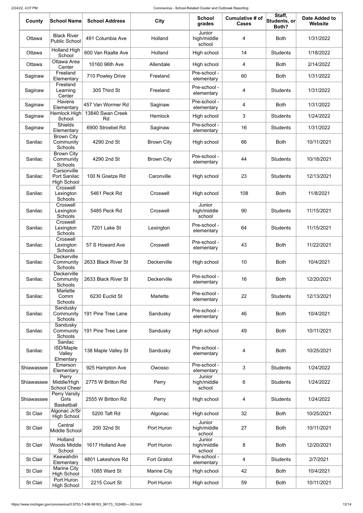| County          | <b>School Name</b>                                 | <b>School Address</b>  | <b>City</b>         | <b>School</b><br>grades         | Cumulative # of<br><b>Cases</b> | Staff,<br>Students, or<br>Both? | <b>Date Added to</b><br>Website |
|-----------------|----------------------------------------------------|------------------------|---------------------|---------------------------------|---------------------------------|---------------------------------|---------------------------------|
| Ottawa          | <b>Black River</b><br><b>Public School</b>         | 491 Columbia Ave       | Holland             | Junior<br>high/middle<br>school | 4                               | <b>Both</b>                     | 1/31/2022                       |
| Ottawa          | <b>Holland High</b><br>School                      | 600 Van Raalte Ave     | Holland             | High school                     | 14                              | <b>Students</b>                 | 1/18/2022                       |
| Ottawa          | Ottawa Area<br>Center                              | 10160 96th Ave         | Allendale           | High school                     | 4                               | <b>Both</b>                     | 2/14/2022                       |
| Saginaw         | Freeland<br>Elementary                             | 710 Powley Drive       | Freeland            | Pre-school -<br>elementary      | 60                              | <b>Both</b>                     | 1/31/2022                       |
| Saginaw         | Freeland<br>Learning<br>Center                     | 305 Third St           | Freeland            | Pre-school -<br>elementary      | 4                               | <b>Students</b>                 | 1/31/2022                       |
| Saginaw         | <b>Havens</b><br>Elementary                        | 457 Van Wormer Rd      | Saginaw             | Pre-school -<br>elementary      | 4                               | <b>Both</b>                     | 1/31/2022                       |
| Saginaw         | Hemlock High<br>School                             | 13840 Swan Creek<br>Rd | Hemlock             | High school                     | 3                               | <b>Students</b>                 | 1/24/2022                       |
| Saginaw         | <b>Shields</b><br>Elementary                       | 6900 Stroebel Rd       | Saginaw             | Pre-school -<br>elementary      | 16                              | <b>Students</b>                 | 1/31/2022                       |
| Sanilac         | <b>Brown City</b><br>Community<br><b>Schools</b>   | 4290 2nd St            | <b>Brown City</b>   | High school                     | 66                              | <b>Both</b>                     | 10/11/2021                      |
| Sanilac         | <b>Brown City</b><br>Community<br><b>Schools</b>   | 4290 2nd St            | <b>Brown City</b>   | Pre-school -<br>elementary      | 44                              | <b>Students</b>                 | 10/18/2021                      |
| Sanilac         | Carsonville<br>Port Sanilac<br><b>High School</b>  | 100 N Goetze Rd        | Caronville          | High school                     | 23                              | <b>Students</b>                 | 12/13/2021                      |
| Sanilac         | Croswell<br>Lexington<br>Schools                   | 5461 Peck Rd           | Croswell            | High school                     | 108                             | <b>Both</b>                     | 11/8/2021                       |
| Sanilac         | Croswell<br>Lexington<br>Schools                   | 5485 Peck Rd           | Croswell            | Junior<br>high/middle<br>school | 90                              | <b>Students</b>                 | 11/15/2021                      |
| Sanilac         | Croswell<br>Lexington<br>Schools                   | 7201 Lake St           | Lexington           | Pre-school -<br>elementary      | 64                              | <b>Students</b>                 | 11/15/2021                      |
| Sanilac         | Croswell<br>Lexington<br>Schools                   | 57 S Howard Ave        | Croswell            | Pre-school -<br>elementary      | 43                              | <b>Both</b>                     | 11/22/2021                      |
| Sanilac         | <b>Deckerville</b><br>Community<br><b>Schools</b>  | 2633 Black River St    | Deckerville         | High school                     | 10                              | <b>Both</b>                     | 10/4/2021                       |
| Sanilac         | Deckerville<br>Community<br><b>Schools</b>         | 2633 Black River St    | Deckerville         | Pre-school -<br>elementary      | 16                              | <b>Both</b>                     | 12/20/2021                      |
| Sanilac         | Marlette<br>Comm<br><b>Schools</b>                 | 6230 Euclid St         | Marlette            | Pre-school -<br>elementary      | 22                              | <b>Students</b>                 | 12/13/2021                      |
| Sanilac         | Sandusky<br>Community<br>Schools                   | 191 Pine Tree Lane     | Sandusky            | Pre-school -<br>elementary      | 46                              | <b>Both</b>                     | 10/4/2021                       |
| Sanilac         | Sandusky<br>Community<br>Schools                   | 191 Pine Tree Lane     | Sandusky            | High school                     | 49                              | <b>Both</b>                     | 10/11/2021                      |
| Sanilac         | Sanilac<br><b>ISD/Maple</b><br>Valley<br>Elmentary | 138 Maple Valley St    | Sandusky            | Pre-school -<br>elementary      | 4                               | <b>Both</b>                     | 10/25/2021                      |
| Shiawassee      | Emerson<br>Elementary                              | 925 Hampton Ave        | Owosso              | Pre-school -<br>elementary      | 3                               | <b>Students</b>                 | 1/24/2022                       |
| Shiawassee      | Perry<br>Middle/High<br><b>School Cheer</b>        | 2775 W Britton Rd      | Perry               | Junior<br>high/middle<br>school | 6                               | <b>Students</b>                 | 1/24/2022                       |
| Shiawassee      | Perry Varsity<br>Girls<br><b>Basketball</b>        | 2555 W Britton Rd      | Perry               | High school                     | 4                               | <b>Students</b>                 | 1/24/2022                       |
| St Clair        | Algonac Jr/Sr<br><b>High School</b>                | 5200 Taft Rd           | Algonac             | High school                     | 32                              | <b>Both</b>                     | 10/25/2021                      |
| <b>St Clair</b> | Central<br>Middle School                           | 200 32nd St            | Port Huron          | Junior<br>high/middle<br>school | 27                              | <b>Both</b>                     | 10/11/2021                      |
| <b>St Clair</b> | Holland<br>Woods Middle<br>School                  | 1617 Holland Ave       | Port Huron          | Junior<br>high/middle<br>school | 8                               | <b>Both</b>                     | 12/20/2021                      |
| St Clair        | Keewahdin<br>Elementary                            | 4801 Lakeshore Rd      | <b>Fort Gratiot</b> | Pre-school -<br>elementary      | 4                               | <b>Students</b>                 | 2/7/2021                        |
| St Clair        | <b>Marine City</b><br><b>High School</b>           | 1085 Ward St           | <b>Marine City</b>  | High school                     | 42                              | <b>Both</b>                     | 10/4/2021                       |
| St Clair        | Port Huron<br><b>High School</b>                   | 2215 Court St          | Port Huron          | High school                     | 59                              | <b>Both</b>                     | 10/11/2021                      |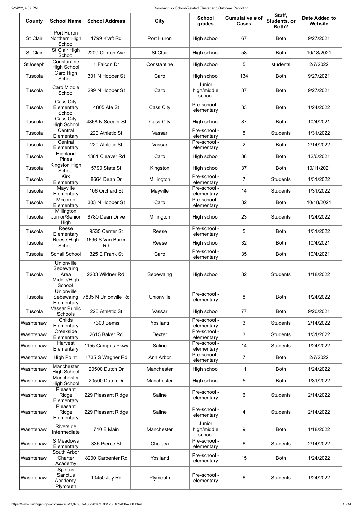| County          | <b>School Name</b>                                       | <b>School Address</b>  | <b>City</b>     | <b>School</b><br>grades         | Cumulative # of<br><b>Cases</b> | Staff,<br>Students, or<br>Both? | <b>Date Added to</b><br>Website |
|-----------------|----------------------------------------------------------|------------------------|-----------------|---------------------------------|---------------------------------|---------------------------------|---------------------------------|
| <b>St Clair</b> | Port Huron<br>Northern High<br>School                    | 1799 Kraft Rd          | Port Huron      | High school                     | 67                              | <b>Both</b>                     | 9/27/2021                       |
| <b>St Clair</b> | St Clair High<br>School                                  | 2200 Clinton Ave       | <b>St Clair</b> | High school                     | 58                              | <b>Both</b>                     | 10/18/2021                      |
| StJoseph        | Constantine<br><b>High School</b>                        | 1 Falcon Dr            | Constantine     | High school                     | 5                               | students                        | 2/7/2022                        |
| Tuscola         | Caro High<br>School                                      | 301 N Hooper St        | Caro            | High school                     | 134                             | <b>Both</b>                     | 9/27/2021                       |
| Tuscola         | Caro Middle<br>School                                    | 299 N Hooper St        | Caro            | Junior<br>high/middle<br>school | 87                              | <b>Both</b>                     | 9/27/2021                       |
| Tuscola         | Cass City<br>Elementary<br>School                        | 4805 Ale St            | Cass City       | Pre-school -<br>elementary      | 33                              | <b>Both</b>                     | 1/24/2022                       |
| Tuscola         | Cass City<br><b>High School</b>                          | 4868 N Seeger St       | Cass City       | High school                     | 87                              | <b>Both</b>                     | 10/4/2021                       |
| Tuscola         | Central<br>Elementary                                    | 220 Athletic St        | Vassar          | Pre-school -<br>elementary      | 5                               | <b>Students</b>                 | 1/31/2022                       |
| Tuscola         | Central<br>Elementary                                    | 220 Athletic St        | Vassar          | Pre-school -<br>elementary      | $\overline{2}$                  | <b>Both</b>                     | 2/14/2022                       |
| Tuscola         | Highland<br><b>Pines</b>                                 | 1381 Cleaver Rd        | Caro            | High school                     | 38                              | <b>Both</b>                     | 12/6/2021                       |
| Tuscola         | Kingston High<br>School                                  | 5790 State St          | Kingston        | High school                     | 37                              | <b>Both</b>                     | 10/11/2021                      |
| Tuscola         | <b>Kirk</b><br>Elementary                                | 8664 Dean Dr           | Millington      | Pre-school -<br>elementary      | $\overline{7}$                  | <b>Students</b>                 | 1/31/2022                       |
| Tuscola         | Mayville<br>Elementary                                   | 106 Orchard St         | Mayville        | Pre-school -<br>elementary      | 14                              | <b>Students</b>                 | 1/31/2022                       |
| Tuscola         | Mccomb<br>Elementary                                     | 303 N Hooper St        | Caro            | Pre-school -<br>elementary      | 32                              | <b>Both</b>                     | 10/18/2021                      |
| Tuscola         | Millington<br>Junior/Senior<br>High                      | 8780 Dean Drive        | Millington      | High school                     | 23                              | <b>Students</b>                 | 1/24/2022                       |
| Tuscola         | Reese<br>Elementary                                      | 9535 Center St         | Reese           | Pre-school -<br>elementary      | 5                               | <b>Both</b>                     | 1/31/2022                       |
| Tuscola         | Reese High<br>School                                     | 1696 S Van Buren<br>Rd | Reese           | High school                     | 32                              | <b>Both</b>                     | 10/4/2021                       |
| Tuscola         | <b>Schall School</b>                                     | 325 E Frank St         | Caro            | Pre-school -<br>elementary      | 35                              | <b>Both</b>                     | 10/4/2021                       |
| Tuscola         | Unionville<br>Sebewaing<br>Area<br>Middle/High<br>School | 2203 Wildner Rd        | Sebewaing       | High school                     | 32                              | <b>Students</b>                 | 1/18/2022                       |
| Tuscola         | Unionville<br>Sebewaing<br>Elementary                    | 7835 N Unionville Rd   | Unionville      | Pre-school -<br>elementary      | 8                               | <b>Both</b>                     | 1/24/2022                       |
| Tuscola         | <b>Vassar Public</b><br>Schools                          | 220 Athletic St        | Vassar          | High school                     | 77                              | <b>Both</b>                     | 9/20/2021                       |
| Washtenaw       | Childs<br>Elementary                                     | 7300 Bemis             | Ypsilanti       | Pre-school -<br>elementary      | 3                               | <b>Students</b>                 | 2/14/2022                       |
| Washtenaw       | Creekside<br>Elementary                                  | 2615 Baker Rd          | Dexter          | Pre-school -<br>elementary      | 3                               | <b>Students</b>                 | 1/31/2022                       |
| Washtenaw       | Harvest<br>Elementary                                    | 1155 Campus Pkwy       | Saline          | Pre-school -<br>elementary      | 14                              | <b>Students</b>                 | 1/24/2022                       |
| Washtenaw       | <b>High Point</b>                                        | 1735 S Wagner Rd       | Ann Arbor       | Pre-school -<br>elementary      | 7                               | <b>Both</b>                     | 2/7/2022                        |
| Washtenaw       | Manchester<br><b>High School</b>                         | 20500 Dutch Dr         | Manchester      | High school                     | 11                              | <b>Both</b>                     | 1/24/2022                       |
| Washtenaw       | Manchester<br><b>High School</b>                         | 20500 Dutch Dr         | Manchester      | High school                     | 5                               | <b>Both</b>                     | 1/31/2022                       |
| Washtenaw       | Pleasant<br>Ridge<br>Elementary                          | 229 Pleasant Ridge     | Saline          | Pre-school -<br>elementary      | 6                               | <b>Students</b>                 | 2/14/2022                       |
| Washtenaw       | Pleasant<br>Ridge<br>Elementary                          | 229 Pleasant Ridge     | Saline          | Pre-school -<br>elementary      | 4                               | <b>Students</b>                 | 2/14/2022                       |
| Washtenaw       | Riverside<br>Intermediate                                | 710 E Main             | Manchester      | Junior<br>high/middle<br>school | 9                               | <b>Both</b>                     | 1/18/2022                       |
| Washtenaw       | S Meadows<br>Elementary                                  | 335 Pierce St          | Chelsea         | Pre-school -<br>elementary      | 6                               | <b>Students</b>                 | 2/14/2022                       |
| Washtenaw       | South Arbor<br>Charter<br>Academy                        | 8200 Carpenter Rd      | Ypsilanti       | Pre-school -<br>elementary      | 15                              | <b>Both</b>                     | 1/24/2022                       |
| Washtenaw       | Spiritus<br>Sanctus<br>Academy,<br>Plymouth              | 10450 Joy Rd           | Plymouth        | Pre-school -<br>elementary      | 6                               | <b>Students</b>                 | 1/24/2022                       |